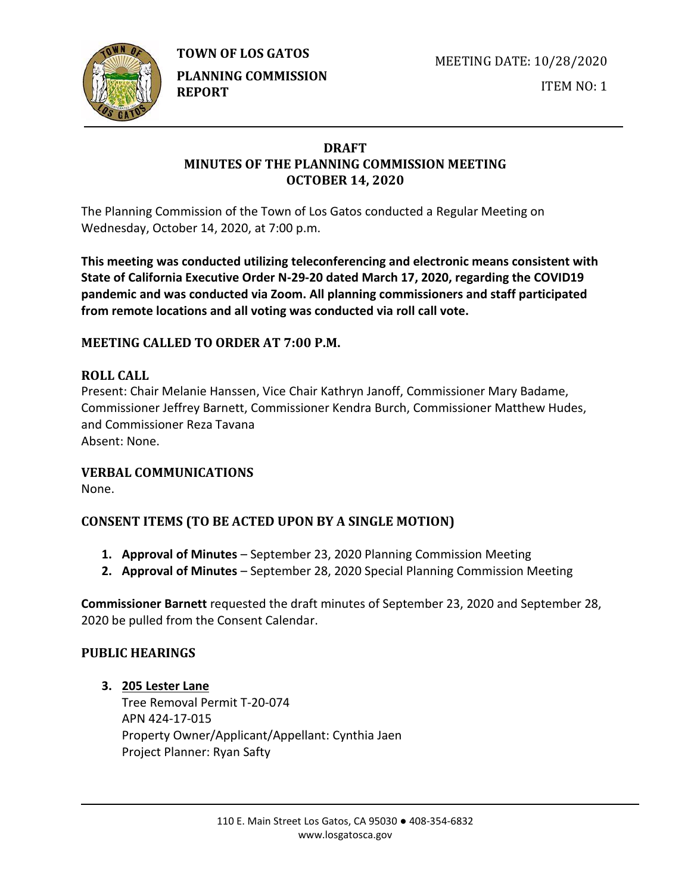

MEETING DATE: 10/28/2020

ITEM NO: 1

## **DRAFT MINUTES OF THE PLANNING COMMISSION MEETING OCTOBER 14, 2020**

The Planning Commission of the Town of Los Gatos conducted a Regular Meeting on Wednesday, October 14, 2020, at 7:00 p.m.

**This meeting was conducted utilizing teleconferencing and electronic means consistent with State of California Executive Order N-29-20 dated March 17, 2020, regarding the COVID19 pandemic and was conducted via Zoom. All planning commissioners and staff participated from remote locations and all voting was conducted via roll call vote.**

# **MEETING CALLED TO ORDER AT 7:00 P.M.**

## **ROLL CALL**

Present: Chair Melanie Hanssen, Vice Chair Kathryn Janoff, Commissioner Mary Badame, Commissioner Jeffrey Barnett, Commissioner Kendra Burch, Commissioner Matthew Hudes, and Commissioner Reza Tavana Absent: None.

## **VERBAL COMMUNICATIONS**

None.

## **CONSENT ITEMS (TO BE ACTED UPON BY A SINGLE MOTION)**

- **1. Approval of Minutes** September 23, 2020 Planning Commission Meeting
- **2. Approval of Minutes**  September 28, 2020 Special Planning Commission Meeting

**Commissioner Barnett** requested the draft minutes of September 23, 2020 and September 28, 2020 be pulled from the Consent Calendar.

## **PUBLIC HEARINGS**

## **3. 205 Lester Lane**

Tree Removal Permit T-20-074 APN 424-17-015 Property Owner/Applicant/Appellant: Cynthia Jaen Project Planner: Ryan Safty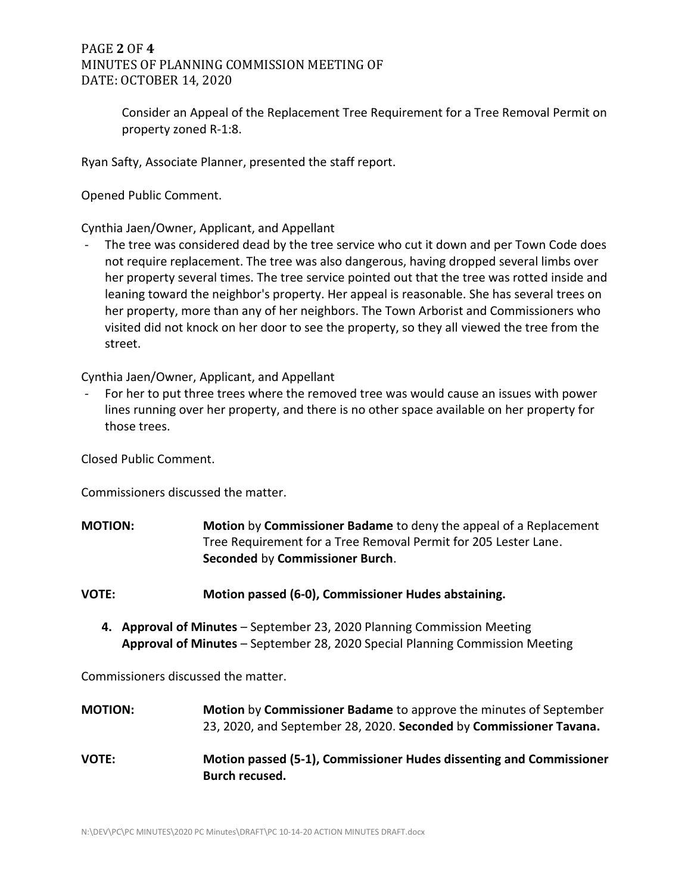## PAGE **2** OF **4** MINUTES OF PLANNING COMMISSION MEETING OF DATE: OCTOBER 14, 2020

Consider an Appeal of the Replacement Tree Requirement for a Tree Removal Permit on property zoned R-1:8.

Ryan Safty, Associate Planner, presented the staff report.

Opened Public Comment.

Cynthia Jaen/Owner, Applicant, and Appellant

The tree was considered dead by the tree service who cut it down and per Town Code does not require replacement. The tree was also dangerous, having dropped several limbs over her property several times. The tree service pointed out that the tree was rotted inside and leaning toward the neighbor's property. Her appeal is reasonable. She has several trees on her property, more than any of her neighbors. The Town Arborist and Commissioners who visited did not knock on her door to see the property, so they all viewed the tree from the street.

Cynthia Jaen/Owner, Applicant, and Appellant

For her to put three trees where the removed tree was would cause an issues with power lines running over her property, and there is no other space available on her property for those trees.

Closed Public Comment.

Commissioners discussed the matter.

- **MOTION: Motion** by **Commissioner Badame** to deny the appeal of a Replacement Tree Requirement for a Tree Removal Permit for 205 Lester Lane. **Seconded** by **Commissioner Burch**.
- **VOTE: Motion passed (6-0), Commissioner Hudes abstaining.**
	- **4. Approval of Minutes** September 23, 2020 Planning Commission Meeting **Approval of Minutes** – September 28, 2020 Special Planning Commission Meeting

Commissioners discussed the matter.

| <b>MOTION:</b> | Motion by Commissioner Badame to approve the minutes of September<br>23, 2020, and September 28, 2020. Seconded by Commissioner Tavana. |
|----------------|-----------------------------------------------------------------------------------------------------------------------------------------|
| <b>VOTE:</b>   | Motion passed (5-1), Commissioner Hudes dissenting and Commissioner<br>Burch recused.                                                   |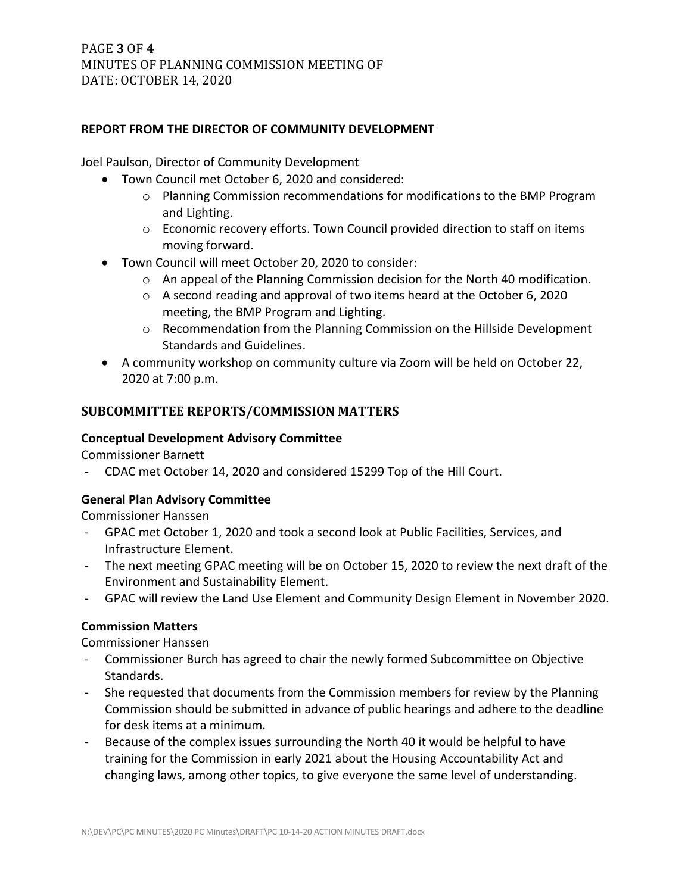## PAGE **3** OF **4** MINUTES OF PLANNING COMMISSION MEETING OF DATE: OCTOBER 14, 2020

#### **REPORT FROM THE DIRECTOR OF COMMUNITY DEVELOPMENT**

Joel Paulson, Director of Community Development

- Town Council met October 6, 2020 and considered:
	- $\circ$  Planning Commission recommendations for modifications to the BMP Program and Lighting.
	- o Economic recovery efforts. Town Council provided direction to staff on items moving forward.
- Town Council will meet October 20, 2020 to consider:
	- o An appeal of the Planning Commission decision for the North 40 modification.
	- o A second reading and approval of two items heard at the October 6, 2020 meeting, the BMP Program and Lighting.
	- o Recommendation from the Planning Commission on the Hillside Development Standards and Guidelines.
- A community workshop on community culture via Zoom will be held on October 22, 2020 at 7:00 p.m.

## **SUBCOMMITTEE REPORTS/COMMISSION MATTERS**

#### **Conceptual Development Advisory Committee**

Commissioner Barnett

- CDAC met October 14, 2020 and considered 15299 Top of the Hill Court.

## **General Plan Advisory Committee**

Commissioner Hanssen

- GPAC met October 1, 2020 and took a second look at Public Facilities, Services, and Infrastructure Element.
- The next meeting GPAC meeting will be on October 15, 2020 to review the next draft of the Environment and Sustainability Element.
- GPAC will review the Land Use Element and Community Design Element in November 2020.

#### **Commission Matters**

Commissioner Hanssen

- Commissioner Burch has agreed to chair the newly formed Subcommittee on Objective Standards.
- She requested that documents from the Commission members for review by the Planning Commission should be submitted in advance of public hearings and adhere to the deadline for desk items at a minimum.
- Because of the complex issues surrounding the North 40 it would be helpful to have training for the Commission in early 2021 about the Housing Accountability Act and changing laws, among other topics, to give everyone the same level of understanding.